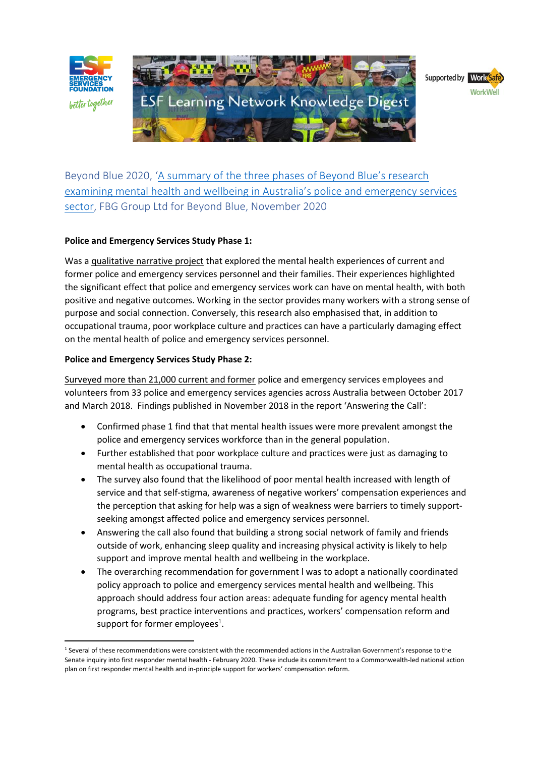



Beyond Blue 2020, ['A summary of the three phases of Beyond Blue's research](https://esf.com.au/wp-content/uploads/2021/06/Beyond-Blue-phase-three-report.pdf)  [examining mental health and wellbeing in Australia's police and emergency services](https://esf.com.au/wp-content/uploads/2021/06/Beyond-Blue-phase-three-report.pdf)  [sector,](https://esf.com.au/wp-content/uploads/2021/06/Beyond-Blue-phase-three-report.pdf) FBG Group Ltd for Beyond Blue, November 2020

# **Police and Emergency Services Study Phase 1:**

Was a qualitative narrative project that explored the mental health experiences of current and former police and emergency services personnel and their families. Their experiences highlighted the significant effect that police and emergency services work can have on mental health, with both positive and negative outcomes. Working in the sector provides many workers with a strong sense of purpose and social connection. Conversely, this research also emphasised that, in addition to occupational trauma, poor workplace culture and practices can have a particularly damaging effect on the mental health of police and emergency services personnel.

### **Police and Emergency Services Study Phase 2:**

Surveyed more than 21,000 current and former police and emergency services employees and volunteers from 33 police and emergency services agencies across Australia between October 2017 and March 2018. Findings published in November 2018 in the report 'Answering the Call':

- Confirmed phase 1 find that that mental health issues were more prevalent amongst the police and emergency services workforce than in the general population.
- Further established that poor workplace culture and practices were just as damaging to mental health as occupational trauma.
- The survey also found that the likelihood of poor mental health increased with length of service and that self-stigma, awareness of negative workers' compensation experiences and the perception that asking for help was a sign of weakness were barriers to timely supportseeking amongst affected police and emergency services personnel.
- Answering the call also found that building a strong social network of family and friends outside of work, enhancing sleep quality and increasing physical activity is likely to help support and improve mental health and wellbeing in the workplace.
- The overarching recommendation for government l was to adopt a nationally coordinated policy approach to police and emergency services mental health and wellbeing. This approach should address four action areas: adequate funding for agency mental health programs, best practice interventions and practices, workers' compensation reform and support for former employees $<sup>1</sup>$ .</sup>

<sup>&</sup>lt;sup>1</sup> Several of these recommendations were consistent with the recommended actions in the Australian Government's response to the Senate inquiry into first responder mental health - February 2020. These include its commitment to a Commonwealth-led national action plan on first responder mental health and in-principle support for workers' compensation reform.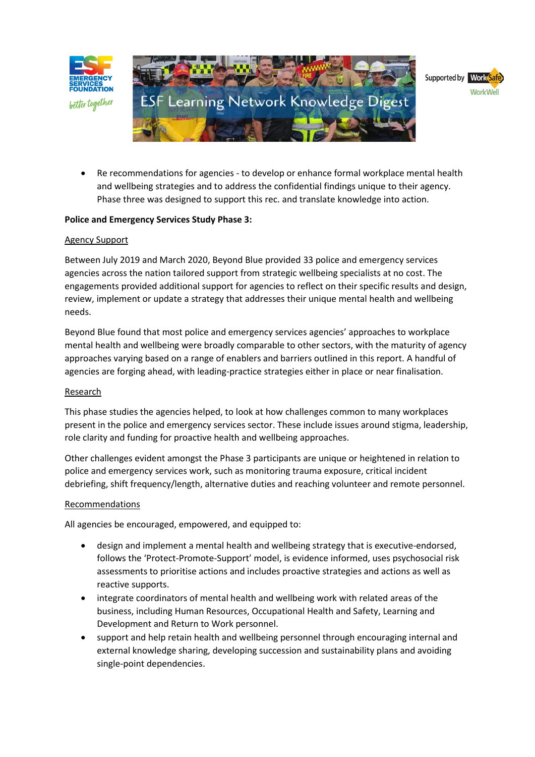



• Re recommendations for agencies - to develop or enhance formal workplace mental health and wellbeing strategies and to address the confidential findings unique to their agency. Phase three was designed to support this rec. and translate knowledge into action.

# **Police and Emergency Services Study Phase 3:**

# Agency Support

Between July 2019 and March 2020, Beyond Blue provided 33 police and emergency services agencies across the nation tailored support from strategic wellbeing specialists at no cost. The engagements provided additional support for agencies to reflect on their specific results and design, review, implement or update a strategy that addresses their unique mental health and wellbeing needs.

Beyond Blue found that most police and emergency services agencies' approaches to workplace mental health and wellbeing were broadly comparable to other sectors, with the maturity of agency approaches varying based on a range of enablers and barriers outlined in this report. A handful of agencies are forging ahead, with leading-practice strategies either in place or near finalisation.

# Research

This phase studies the agencies helped, to look at how challenges common to many workplaces present in the police and emergency services sector. These include issues around stigma, leadership, role clarity and funding for proactive health and wellbeing approaches.

Other challenges evident amongst the Phase 3 participants are unique or heightened in relation to police and emergency services work, such as monitoring trauma exposure, critical incident debriefing, shift frequency/length, alternative duties and reaching volunteer and remote personnel.

# Recommendations

All agencies be encouraged, empowered, and equipped to:

- design and implement a mental health and wellbeing strategy that is executive-endorsed, follows the 'Protect-Promote-Support' model, is evidence informed, uses psychosocial risk assessments to prioritise actions and includes proactive strategies and actions as well as reactive supports.
- integrate coordinators of mental health and wellbeing work with related areas of the business, including Human Resources, Occupational Health and Safety, Learning and Development and Return to Work personnel.
- support and help retain health and wellbeing personnel through encouraging internal and external knowledge sharing, developing succession and sustainability plans and avoiding single-point dependencies.